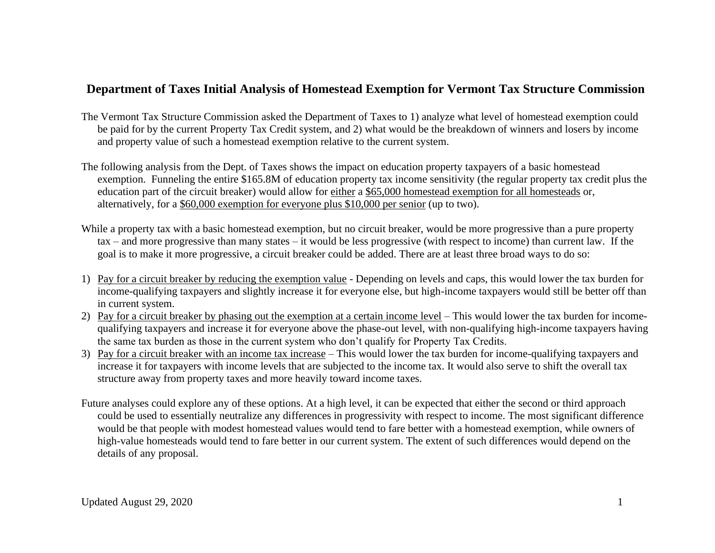## **Department of Taxes Initial Analysis of Homestead Exemption for Vermont Tax Structure Commission**

- The Vermont Tax Structure Commission asked the Department of Taxes to 1) analyze what level of homestead exemption could be paid for by the current Property Tax Credit system, and 2) what would be the breakdown of winners and losers by income and property value of such a homestead exemption relative to the current system.
- The following analysis from the Dept. of Taxes shows the impact on education property taxpayers of a basic homestead exemption. Funneling the entire \$165.8M of education property tax income sensitivity (the regular property tax credit plus the education part of the circuit breaker) would allow for either a \$65,000 homestead exemption for all homesteads or, alternatively, for a \$60,000 exemption for everyone plus \$10,000 per senior (up to two).
- While a property tax with a basic homestead exemption, but no circuit breaker, would be more progressive than a pure property tax – and more progressive than many states – it would be less progressive (with respect to income) than current law. If the goal is to make it more progressive, a circuit breaker could be added. There are at least three broad ways to do so:
- 1) Pay for a circuit breaker by reducing the exemption value Depending on levels and caps, this would lower the tax burden for income-qualifying taxpayers and slightly increase it for everyone else, but high-income taxpayers would still be better off than in current system.
- 2) Pay for a circuit breaker by phasing out the exemption at a certain income level This would lower the tax burden for incomequalifying taxpayers and increase it for everyone above the phase-out level, with non-qualifying high-income taxpayers having the same tax burden as those in the current system who don't qualify for Property Tax Credits.
- 3) Pay for a circuit breaker with an income tax increase This would lower the tax burden for income-qualifying taxpayers and increase it for taxpayers with income levels that are subjected to the income tax. It would also serve to shift the overall tax structure away from property taxes and more heavily toward income taxes.
- Future analyses could explore any of these options. At a high level, it can be expected that either the second or third approach could be used to essentially neutralize any differences in progressivity with respect to income. The most significant difference would be that people with modest homestead values would tend to fare better with a homestead exemption, while owners of high-value homesteads would tend to fare better in our current system. The extent of such differences would depend on the details of any proposal.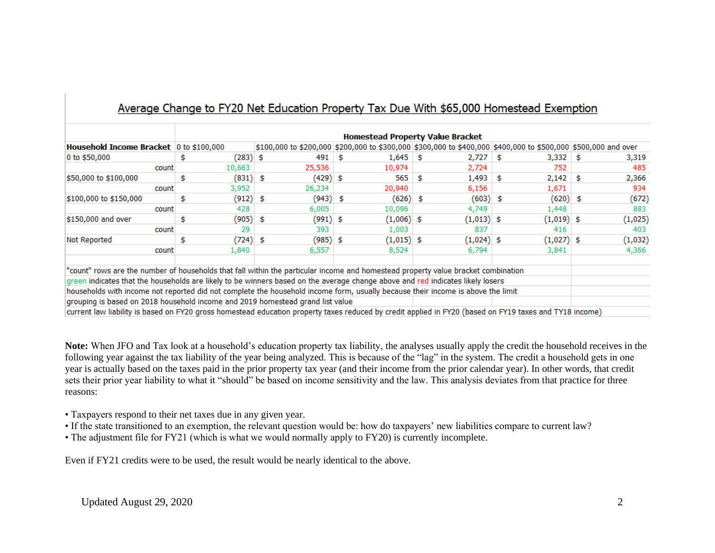| Household Income Bracket 0 to \$100,000                                                                                           |             |                   |              | <b>Homestead Property Value Bracket</b> |                                                                                                                |         |
|-----------------------------------------------------------------------------------------------------------------------------------|-------------|-------------------|--------------|-----------------------------------------|----------------------------------------------------------------------------------------------------------------|---------|
|                                                                                                                                   |             |                   |              |                                         | \$100,000 to \$200,000 \$200,000 to \$300,000 \$300,000 to \$400,000 \$400,000 to \$500,000 \$500,000 and over |         |
| 0 to $$50,000$                                                                                                                    | (283)       | 491<br>\$         | 1,645<br>s   | 2,727<br>- \$                           | $3,332$ \$<br>S                                                                                                | 3,319   |
| count                                                                                                                             | 10,663      | 25,536            | 10,974       | 2,724                                   | 752                                                                                                            | 485     |
| \$50,000 to \$100,000                                                                                                             | (831)<br>\$ | (429) \$<br>\$    | 565          | 1,493<br>\$                             | $2,142$ \$<br>\$                                                                                               | 2,366   |
| count                                                                                                                             | 3,952       | 26,234            | 20,940       | 6,156                                   | 1,671                                                                                                          | 934     |
| \$100,000 to \$150,000                                                                                                            | (912)<br>s  | (943) \$<br>s.    | (626) \$     |                                         | $(603)$ \$<br>(620) \$                                                                                         | (672)   |
| count                                                                                                                             | 428         | 6,005             | 10,096       | 4,749                                   | 1,448                                                                                                          | 883     |
| \$150,000 and over                                                                                                                | (905)<br>\$ | $(991)$ \$<br>\$. | $(1,006)$ \$ | $(1,013)$ \$                            | $(1,019)$ \$                                                                                                   | (1,025) |
| count                                                                                                                             | 29          | 393               | 1,003        | 837                                     | 416                                                                                                            | 403     |
| Not Reported<br>\$                                                                                                                | (724)       | (985) \$<br>\$.   | $(1,015)$ \$ | $(1,024)$ \$                            | $(1,027)$ \$                                                                                                   | (1,032) |
| count                                                                                                                             | 1,840       | 6,557             | 8,524        | 6,794                                   | 3,841                                                                                                          | 4,366   |
| "count" rows are the number of households that fall within the particular income and homestead property value bracket combination |             |                   |              |                                         |                                                                                                                |         |
| green indicates that the households are likely to be winners based on the average change above and red indicates likely losers    |             |                   |              |                                         |                                                                                                                |         |
| households with income not reported did not complete the household income form, usually because their income is above the limit   |             |                   |              |                                         |                                                                                                                |         |

**Note:** When JFO and Tax look at a household's education property tax liability, the analyses usually apply the credit the household receives in the following year against the tax liability of the year being analyzed. This is because of the "lag" in the system. The credit a household gets in one year is actually based on the taxes paid in the prior property tax year (and their income from the prior calendar year). In other words, that credit sets their prior year liability to what it "should" be based on income sensitivity and the law. This analysis deviates from that practice for three reasons:

- Taxpayers respond to their net taxes due in any given year.
- If the state transitioned to an exemption, the relevant question would be: how do taxpayers' new liabilities compare to current law?
- The adjustment file for FY21 (which is what we would normally apply to FY20) is currently incomplete.

Even if FY21 credits were to be used, the result would be nearly identical to the above.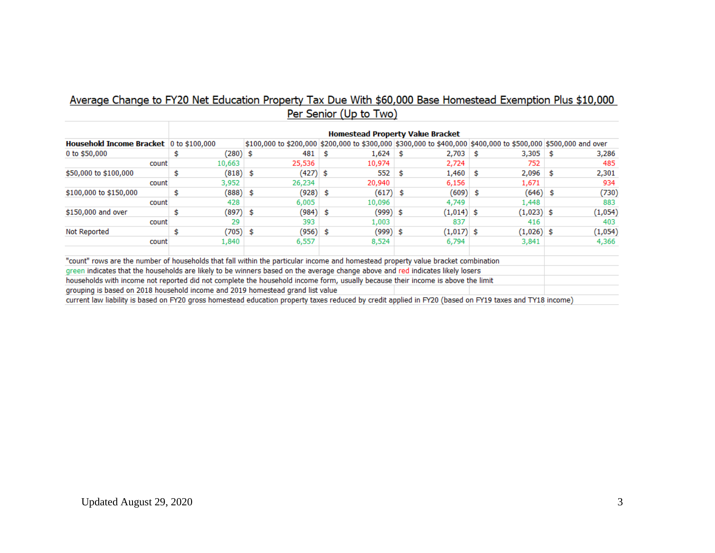### Average Change to FY20 Net Education Property Tax Due With \$60,000 Base Homestead Exemption Plus \$10,000 Per Senior (Up to Two)

| Household Income Bracket 0 to \$100,000                                                                                           |  |            |     |          |      |            |      | \$100,000 to \$200,000 \$200,000 to \$300,000 \$300,000 to \$400,000 \$400,000 to \$500,000 \$500,000 and over |      |              |      |         |
|-----------------------------------------------------------------------------------------------------------------------------------|--|------------|-----|----------|------|------------|------|----------------------------------------------------------------------------------------------------------------|------|--------------|------|---------|
| 0 to \$50,000                                                                                                                     |  | (280) \$   |     | 481      |      | 1,624      | - \$ | 2,703                                                                                                          | - 56 | 3,305        | - 53 | 3,286   |
| count                                                                                                                             |  | 10,663     |     | 25,536   |      | 10,974     |      | 2,724                                                                                                          |      | 752          |      | 485     |
| \$50,000 to \$100,000                                                                                                             |  | $(818)$ \$ |     | (427) \$ |      | 552        | s.   | 1,460                                                                                                          | Ŝ.   | 2,096        | Ŝ.   | 2,301   |
| count                                                                                                                             |  | 3,952      |     | 26,234   |      | 20,940     |      | 6,156                                                                                                          |      | 1,671        |      | 934     |
| \$100,000 to \$150,000                                                                                                            |  | (888) \$   |     | (928)    | \$   | (617)      | \$.  | (609)                                                                                                          | S    | $(646)$ \$   |      | (730)   |
| count                                                                                                                             |  | 428        |     | 6,005    |      | 10,096     |      | 4,749                                                                                                          |      | 1,448        |      | 883     |
| \$150,000 and over                                                                                                                |  | (897)      | -\$ | (984)    | \$   | $(999)$ \$ |      | $(1,014)$ \$                                                                                                   |      | $(1,023)$ \$ |      | (1,054) |
| count                                                                                                                             |  | 29         |     | 393      |      | 1,003      |      | 837                                                                                                            |      | 416          |      | 403     |
| Not Reported                                                                                                                      |  | (705) \$   |     | (956)    | - \$ | $(999)$ \$ |      | $(1,017)$ \$                                                                                                   |      | $(1,026)$ \$ |      | (1,054) |
| count                                                                                                                             |  | 1,840      |     | 6,557    |      | 8,524      |      | 6,794                                                                                                          |      | 3,841        |      | 4,366   |
| "count" rows are the number of households that fall within the particular income and homestead property value bracket combination |  |            |     |          |      |            |      |                                                                                                                |      |              |      |         |
| green indicates that the households are likely to be winners based on the average change above and red indicates likely losers    |  |            |     |          |      |            |      |                                                                                                                |      |              |      |         |
| households with income not reported did not complete the household income form, usually because their income is above the limit   |  |            |     |          |      |            |      |                                                                                                                |      |              |      |         |

grouping is based on 2018 household income and 2019 homestead grand list value

current law liability is based on FY20 gross homestead education property taxes reduced by credit applied in FY20 (based on FY19 taxes and TY18 income)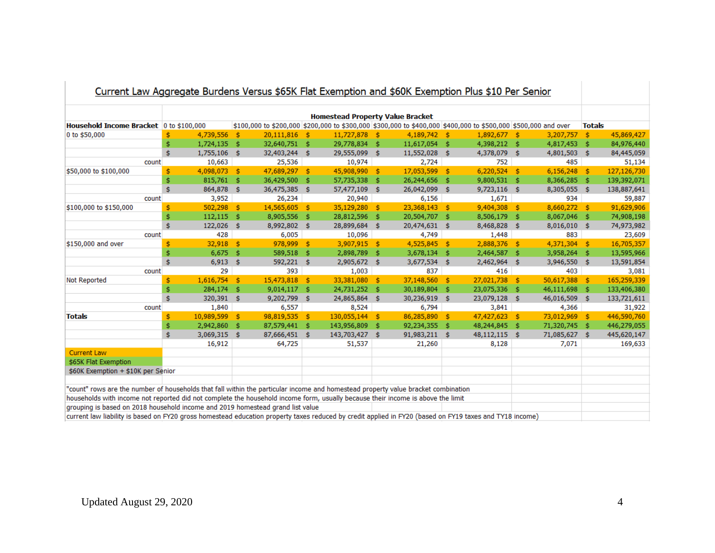| Current Law Aggregate Duruens versus pook nat Exemption and pook Exemption Fius plu Fer Semor                                                           |     |              |      |               |      |                                         |      |                |      |                                                                                                                |      |                |               |             |
|---------------------------------------------------------------------------------------------------------------------------------------------------------|-----|--------------|------|---------------|------|-----------------------------------------|------|----------------|------|----------------------------------------------------------------------------------------------------------------|------|----------------|---------------|-------------|
|                                                                                                                                                         |     |              |      |               |      | <b>Homestead Property Value Bracket</b> |      |                |      |                                                                                                                |      |                |               |             |
| Household Income Bracket 0 to \$100,000                                                                                                                 |     |              |      |               |      |                                         |      |                |      | \$100,000 to \$200,000 \$200,000 to \$300,000 \$300,000 to \$400,000 \$400,000 to \$500,000 \$500,000 and over |      |                | <b>Totals</b> |             |
| 0 to \$50,000                                                                                                                                           |     | 4,739,556    | -Ś   | 20,111,816    | - \$ | 11,727,878 \$                           |      | 4,189,742 \$   |      | $1,892,677$ \$                                                                                                 |      | 3,207,757      | $^{\circ}$    | 45,869,427  |
|                                                                                                                                                         | \$  | 1,724,135    | -\$  | 32,640,751    | \$   | 29,778,834 \$                           |      | 11,617,054 \$  |      | 4,398,212 \$                                                                                                   |      | 4,817,453      | - \$          | 84,976,440  |
|                                                                                                                                                         | Ś   | 1,755,106    | -\$  | 32,403,244    | -\$  | 29,555,099 \$                           |      | 11,552,028 \$  |      | 4,378,079 \$                                                                                                   |      | 4,801,503 \$   |               | 84,445,059  |
| count                                                                                                                                                   |     | 10,663       |      | 25,536        |      | 10,974                                  |      | 2,724          |      | 752                                                                                                            |      | 485            |               | 51,134      |
| \$50,000 to \$100,000                                                                                                                                   | s   | 4,098,073 \$ |      | 47,689,297 \$ |      | 45,908,990                              | - \$ | 17,053,599     | - \$ | $6,220,524$ \$                                                                                                 |      | 6,156,248      | - \$          | 127,126,730 |
|                                                                                                                                                         | \$. | 815,761      | -\$  | 36,429,500    | \$   | 57,735,338                              | Ŝ.   | 26,244,656     | \$.  | 9,800,531                                                                                                      | Ŝ.   | 8,366,285      | Ŝ.            | 139,392,071 |
|                                                                                                                                                         | Ś.  | 864,878 \$   |      | 36,475,385    | -\$  | 57,477,109                              | \$   | 26,042,099     | -\$  | $9,723,116$ \$                                                                                                 |      | 8,305,055      | Ŝ.            | 138,887,641 |
| count                                                                                                                                                   |     | 3,952        |      | 26,234        |      | 20,940                                  |      | 6,156          |      | 1,671                                                                                                          |      | 934            |               | 59,887      |
| \$100,000 to \$150,000                                                                                                                                  | \$  | 502,298      | - \$ | 14,565,605    | -\$  | 35,129,280                              | - \$ | 23,368,143     | -\$  | 9,404,308                                                                                                      | - \$ | 8,660,272 \$   |               | 91,629,906  |
|                                                                                                                                                         | \$  | 112,115      | -\$  | 8,905,556     | \$   | 28,812,596                              | \$   | 20,504,707     | -Ś   | 8,506,179                                                                                                      | -\$  | 8,067,046      | - \$          | 74,908,198  |
|                                                                                                                                                         | Ś   | 122,026      | -S   | 8,992,802     | \$.  | 28,899,684                              | s.   | 20,474,631 \$  |      | 8,468,828                                                                                                      | -S   | 8,016,010 \$   |               | 74,973,982  |
| count                                                                                                                                                   |     | 428          |      | 6,005         |      | 10,096                                  |      | 4,749          |      | 1,448                                                                                                          |      | 883            |               | 23,609      |
| \$150,000 and over                                                                                                                                      | ¢,  | $32,918$ \$  |      | 978,999       | -Ś.  | 3,907,915 \$                            |      | 4,525,845 \$   |      | $2,888,376$ \$                                                                                                 |      | $4,371,304$ \$ |               | 16,705,357  |
|                                                                                                                                                         | \$  | 6,675        | - \$ | 589,518       | \$   | 2,898,789                               | \$   | 3,678,134      | -\$  | 2,464,587                                                                                                      | -\$  | 3,958,264      | \$            | 13,595,966  |
|                                                                                                                                                         | \$  | 6,913        | -\$  | 592,221       | -\$  | 2,905,672 \$                            |      | $3,677,534$ \$ |      | 2,462,964                                                                                                      | \$   | 3,946,550      | \$            | 13,591,854  |
| count                                                                                                                                                   |     | 29           |      | 393           |      | 1,003                                   |      | 837            |      | 416                                                                                                            |      | 403            |               | 3,081       |
| Not Reported                                                                                                                                            | \$  | 1,616,754    | Ŝ.   | 15,473,818    | Ś.   | 33,381,080                              | - \$ | 37,148,560     | -\$  | 27,021,738 \$                                                                                                  |      | 50,617,388     | - \$          | 165,259,339 |
|                                                                                                                                                         | Ś   | 284,174      | -S   | 9,014,117     | \$   | 24,731,252 \$                           |      | 30,189,804     | -S   | 23,075,336 \$                                                                                                  |      | 46,111,698     | - \$          | 133,406,380 |
|                                                                                                                                                         | Ś   | 320,391 \$   |      | 9,202,799 \$  |      | 24,865,864 \$                           |      | 30,236,919 \$  |      | 23,079,128 \$                                                                                                  |      | 46,016,509 \$  |               | 133,721,611 |
| count                                                                                                                                                   |     | 1,840        |      | 6,557         |      | 8,524                                   |      | 6,794          |      | 3,841                                                                                                          |      | 4,366          |               | 31,922      |
| <b>Totals</b>                                                                                                                                           | \$  | 10,989,599   | \$   | 98,819,535    | \$   | 130,055,144                             | -\$  | 86,285,890     | -\$  | 47,427,623                                                                                                     | - \$ | 73,012,969     | - \$          | 446,590,760 |
|                                                                                                                                                         | \$  | 2,942,860    | Ŝ.   | 87,579,441    | Ŝ.   | 143,956,809                             | Ŝ.   | 92,234,355     | \$   | 48,244,845                                                                                                     | \$.  | 71,320,745     | Ŝ.            | 446,279,055 |
|                                                                                                                                                         | \$  | 3,069,315    | Ŝ.   | 87,666,451    | \$.  | 143,703,427                             | - \$ | 91,983,211     | Ŝ.   | 48,112,115                                                                                                     | -\$  | 71,085,627 \$  |               | 445,620,147 |
|                                                                                                                                                         |     | 16,912       |      | 64,725        |      | 51,537                                  |      | 21,260         |      | 8,128                                                                                                          |      | 7,071          |               | 169,633     |
| <b>Current Law</b>                                                                                                                                      |     |              |      |               |      |                                         |      |                |      |                                                                                                                |      |                |               |             |
| \$65K Flat Exemption                                                                                                                                    |     |              |      |               |      |                                         |      |                |      |                                                                                                                |      |                |               |             |
| \$60K Exemption + \$10K per Senior                                                                                                                      |     |              |      |               |      |                                         |      |                |      |                                                                                                                |      |                |               |             |
|                                                                                                                                                         |     |              |      |               |      |                                         |      |                |      |                                                                                                                |      |                |               |             |
| "count" rows are the number of households that fall within the particular income and homestead property value bracket combination                       |     |              |      |               |      |                                         |      |                |      |                                                                                                                |      |                |               |             |
| households with income not reported did not complete the household income form, usually because their income is above the limit                         |     |              |      |               |      |                                         |      |                |      |                                                                                                                |      |                |               |             |
| grouping is based on 2018 household income and 2019 homestead grand list value                                                                          |     |              |      |               |      |                                         |      |                |      |                                                                                                                |      |                |               |             |
| current law liability is based on FY20 gross homestead education property taxes reduced by credit applied in FY20 (based on FY19 taxes and TY18 income) |     |              |      |               |      |                                         |      |                |      |                                                                                                                |      |                |               |             |

#### Current Law Aggregate Burdens Versus \$65K Flat Exemption and \$60K Exemption Plus \$10 Per Senior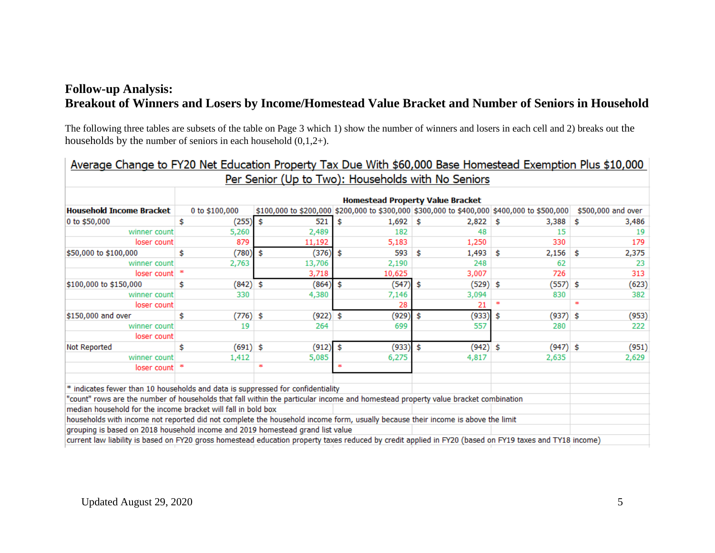# **Follow-up Analysis: Breakout of Winners and Losers by Income/Homestead Value Bracket and Number of Seniors in Household**

The following three tables are subsets of the table on Page 3 which 1) show the number of winners and losers in each cell and 2) breaks out the households by the number of seniors in each household  $(0,1,2+)$ .

| Average Change to FY20 Net Education Property Tax Due With \$60,000 Base Homestead Exemption Plus \$10,000                                              |     |                                         |    |        |    |                                                                                             |    |       |    |            |     |                    |  |
|---------------------------------------------------------------------------------------------------------------------------------------------------------|-----|-----------------------------------------|----|--------|----|---------------------------------------------------------------------------------------------|----|-------|----|------------|-----|--------------------|--|
| Per Senior (Up to Two): Households with No Seniors                                                                                                      |     |                                         |    |        |    |                                                                                             |    |       |    |            |     |                    |  |
|                                                                                                                                                         |     | <b>Homestead Property Value Bracket</b> |    |        |    |                                                                                             |    |       |    |            |     |                    |  |
| <b>Household Income Bracket</b>                                                                                                                         |     | 0 to \$100,000                          |    |        |    | \$100,000 to \$200,000 \$200,000 to \$300,000 \$300,000 to \$400,000 \$400,000 to \$500,000 |    |       |    |            |     | \$500,000 and over |  |
| 0 to \$50,000                                                                                                                                           | \$  | (255)                                   | \$ | 521    |    | \$<br>$1,692$ \$                                                                            |    | 2,822 | -S | 3,388      | \$  | 3,486              |  |
| winner count                                                                                                                                            |     | 5,260                                   |    | 2,489  |    | 182                                                                                         |    | 48    |    | 15         |     | 19                 |  |
| loser count                                                                                                                                             |     | 879                                     |    | 11,192 |    | 5,183                                                                                       |    | 1,250 |    | 330        |     | 179                |  |
| \$50,000 to \$100,000                                                                                                                                   | \$  | (780)                                   | \$ | (376)  |    | 593<br>\$                                                                                   | \$ | 1,493 | \$ | 2,156      | \$  | 2,375              |  |
| winner count                                                                                                                                            |     | 2,763                                   |    | 13,706 |    | 2,190                                                                                       |    | 248   |    | 62         |     | 23                 |  |
| loser count                                                                                                                                             |     |                                         |    | 3,718  |    | 10,625                                                                                      |    | 3,007 |    | 726        |     | 313                |  |
| \$100,000 to \$150,000                                                                                                                                  | \$. | $(842)$ \$                              |    | (864)  |    | (547)<br>\$                                                                                 | \$ | (529) | Ŝ  | (557)      | -\$ | (623)              |  |
| winner count                                                                                                                                            |     | 330                                     |    | 4,380  |    | 7,146                                                                                       |    | 3,094 |    | 830        |     | 382                |  |
| loser count                                                                                                                                             |     |                                         |    |        |    | 28                                                                                          |    | 21    | ÷  |            | ÷   |                    |  |
| \$150,000 and over                                                                                                                                      | \$  | $(776)$ \$                              |    | (922)  | \$ | (929)                                                                                       | \$ | (933) | \$ | (937)      | \$  | (953)              |  |
| winner count                                                                                                                                            |     | 19                                      |    | 264    |    | 699                                                                                         |    | 557   |    | 280        |     | 222                |  |
| loser count                                                                                                                                             |     |                                         |    |        |    |                                                                                             |    |       |    |            |     |                    |  |
| Not Reported                                                                                                                                            | \$  | $(691)$ \$                              |    | (912)  |    | (933)<br>\$                                                                                 | \$ | (942) | -Ś | $(947)$ \$ |     | (951)              |  |
| winner count                                                                                                                                            |     | 1,412                                   |    | 5,085  |    | 6,275                                                                                       |    | 4,817 |    | 2,635      |     | 2,629              |  |
| loser count                                                                                                                                             | ÷   |                                         | ÷  |        |    | ÷                                                                                           |    |       |    |            |     |                    |  |
|                                                                                                                                                         |     |                                         |    |        |    |                                                                                             |    |       |    |            |     |                    |  |
| * indicates fewer than 10 households and data is suppressed for confidentiality                                                                         |     |                                         |    |        |    |                                                                                             |    |       |    |            |     |                    |  |
| "count" rows are the number of households that fall within the particular income and homestead property value bracket combination                       |     |                                         |    |        |    |                                                                                             |    |       |    |            |     |                    |  |
| median household for the income bracket will fall in bold box                                                                                           |     |                                         |    |        |    |                                                                                             |    |       |    |            |     |                    |  |
| households with income not reported did not complete the household income form, usually because their income is above the limit                         |     |                                         |    |        |    |                                                                                             |    |       |    |            |     |                    |  |
| grouping is based on 2018 household income and 2019 homestead grand list value                                                                          |     |                                         |    |        |    |                                                                                             |    |       |    |            |     |                    |  |
| current law liability is based on FY20 gross homestead education property taxes reduced by credit applied in FY20 (based on FY19 taxes and TY18 income) |     |                                         |    |        |    |                                                                                             |    |       |    |            |     |                    |  |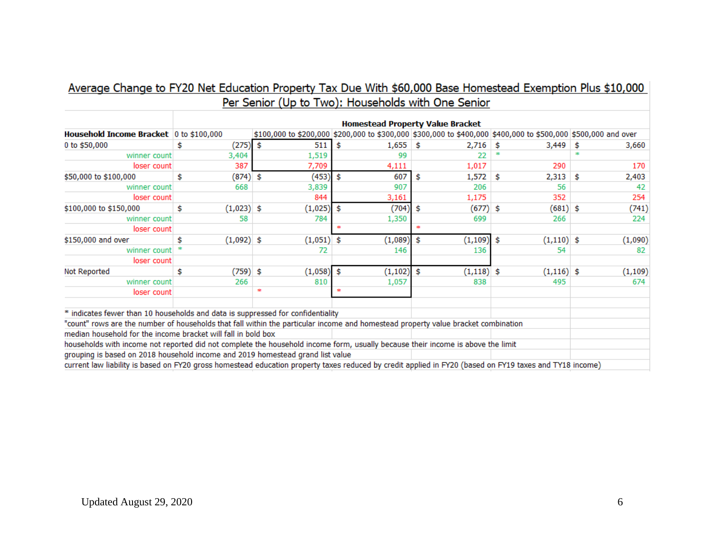| Average Change to FY20 Net Education Property Tax Due With \$60,000 Base Homestead Exemption Plus \$10,000 |                                                    |  |
|------------------------------------------------------------------------------------------------------------|----------------------------------------------------|--|
|                                                                                                            | Per Senior (Up to Two): Households with One Senior |  |

|                                                                                                                                                         | <b>Homestead Property Value Bracket</b> |              |    |         |     |                                                                                                                |     |              |    |              |    |          |
|---------------------------------------------------------------------------------------------------------------------------------------------------------|-----------------------------------------|--------------|----|---------|-----|----------------------------------------------------------------------------------------------------------------|-----|--------------|----|--------------|----|----------|
| Household Income Bracket 0 to \$100,000                                                                                                                 |                                         |              |    |         |     | \$100,000 to \$200,000 \$200,000 to \$300,000 \$300,000 to \$400,000 \$400,000 to \$500,000 \$500,000 and over |     |              |    |              |    |          |
| 0 to \$50,000                                                                                                                                           | \$                                      | (275)        | \$ | 511     | \$  | 1,655                                                                                                          | -S  | 2,716        | -S | 3,449        | s  | 3,660    |
| winner count                                                                                                                                            |                                         | 3,404        |    | 1,519   |     | 99                                                                                                             |     | 22           |    |              |    |          |
| loser count                                                                                                                                             |                                         | 387          |    | 7,709   |     | 4,111                                                                                                          |     | 1,017        |    | 290          |    | 170      |
| \$50,000 to \$100,000                                                                                                                                   | \$                                      | $(874)$ \$   |    | (453)   | \$  | 607                                                                                                            | \$  | 1,572        | \$ | 2,313        | \$ | 2,403    |
| winner count                                                                                                                                            |                                         | 668          |    | 3,839   |     | 907                                                                                                            |     | 206          |    | 56           |    | 42       |
| loser count                                                                                                                                             |                                         |              |    | 844     |     | 3,161                                                                                                          |     | 1,175        |    | 352          |    | 254      |
| \$100,000 to \$150,000                                                                                                                                  | \$                                      | $(1,023)$ \$ |    | (1,025) | Ŝ.  | (704)                                                                                                          | \$  | $(677)$ \$   |    | $(681)$ \$   |    | (741)    |
| winner count                                                                                                                                            |                                         | 58           |    | 784     |     | 1,350                                                                                                          |     | 699          |    | 266          |    | 224      |
| loser count                                                                                                                                             |                                         |              |    |         |     |                                                                                                                | sk. |              |    |              |    |          |
| \$150,000 and over                                                                                                                                      | \$                                      | $(1,092)$ \$ |    | (1,051) | -\$ | (1,089)                                                                                                        | \$  | (1, 109)     | \$ | $(1,110)$ \$ |    | (1,090)  |
| winner count                                                                                                                                            |                                         |              |    | 72      |     | 146                                                                                                            |     | 136          |    | 54           |    | 82       |
| loser count                                                                                                                                             |                                         |              |    |         |     |                                                                                                                |     |              |    |              |    |          |
| Not Reported                                                                                                                                            | \$                                      | (759) \$     |    | (1,058) | \$  | (1, 102)                                                                                                       | \$  | $(1,118)$ \$ |    | $(1,116)$ \$ |    | (1, 109) |
| winner count                                                                                                                                            |                                         | 266          |    | 810     |     | 1,057                                                                                                          |     | 838          |    | 495          |    | 674      |
| loser count                                                                                                                                             |                                         |              | ÷  |         |     |                                                                                                                |     |              |    |              |    |          |
| * indicates fewer than 10 households and data is suppressed for confidentiality                                                                         |                                         |              |    |         |     |                                                                                                                |     |              |    |              |    |          |
| "count" rows are the number of households that fall within the particular income and homestead property value bracket combination                       |                                         |              |    |         |     |                                                                                                                |     |              |    |              |    |          |
| median household for the income bracket will fall in bold box                                                                                           |                                         |              |    |         |     |                                                                                                                |     |              |    |              |    |          |
| households with income not reported did not complete the household income form, usually because their income is above the limit                         |                                         |              |    |         |     |                                                                                                                |     |              |    |              |    |          |
| grouping is based on 2018 household income and 2019 homestead grand list value                                                                          |                                         |              |    |         |     |                                                                                                                |     |              |    |              |    |          |
| current law liability is based on FY20 gross homestead education property taxes reduced by credit applied in FY20 (based on FY19 taxes and TY18 income) |                                         |              |    |         |     |                                                                                                                |     |              |    |              |    |          |